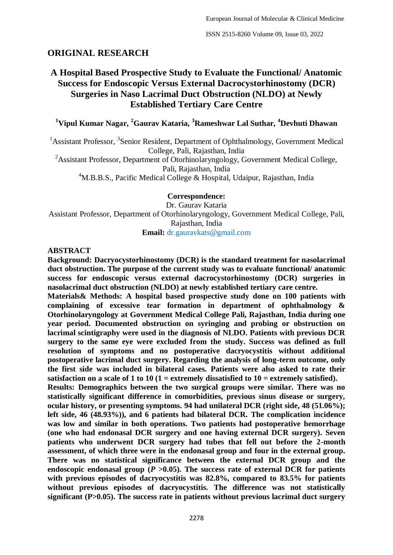## **ORIGINAL RESEARCH**

# **A Hospital Based Prospective Study to Evaluate the Functional/ Anatomic Success for Endoscopic Versus External Dacrocystorhinostomy (DCR) Surgeries in Naso Lacrimal Duct Obstruction (NLDO) at Newly Established Tertiary Care Centre**

## **<sup>1</sup>Vipul Kumar Nagar, <sup>2</sup>Gaurav Kataria, <sup>3</sup>Rameshwar Lal Suthar, <sup>4</sup>Devhuti Dhawan**

<sup>1</sup> Assistant Professor, <sup>3</sup> Senior Resident, Department of Ophthalmology, Government Medical College, Pali, Rajasthan, India

<sup>2</sup>Assistant Professor, Department of Otorhinolaryngology, Government Medical College, Pali, Rajasthan, India

<sup>4</sup>M.B.B.S., Pacific Medical College & Hospital, Udaipur, Rajasthan, India

#### **Correspondence:**

Dr. Gaurav Kataria Assistant Professor, Department of Otorhinolaryngology, Government Medical College, Pali, Rajasthan, India **Email:** dr.gauravkats@gmail.com

#### **ABSTRACT**

**Background: Dacryocystorhinostomy (DCR) is the standard treatment for nasolacrimal duct obstruction. The purpose of the current study was to evaluate functional/ anatomic success for endoscopic versus external dacrocystorhinostomy (DCR) surgeries in nasolacrimal duct obstruction (NLDO) at newly established tertiary care centre.**

**Materials& Methods: A hospital based prospective study done on 100 patients with complaining of excessive tear formation in department of ophthalmology & Otorhinolaryngology at Government Medical College Pali, Rajasthan, India during one year period. Documented obstruction on syringing and probing or obstruction on lacrimal scintigraphy were used in the diagnosis of NLDO. Patients with previous DCR surgery to the same eye were excluded from the study. Success was defined as full resolution of symptoms and no postoperative dacryocystitis without additional postoperative lacrimal duct surgery. Regarding the analysis of long-term outcome, only the first side was included in bilateral cases. Patients were also asked to rate their satisfaction on a scale of 1 to 10 (1 = extremely dissatisfied to 10 = extremely satisfied).**

**Results: Demographics between the two surgical groups were similar. There was no statistically significant difference in comorbidities, previous sinus disease or surgery, ocular history, or presenting symptoms. 94 had unilateral DCR (right side, 48 (51.06%); left side, 46 (48.93%)), and 6 patients had bilateral DCR. The complication incidence was low and similar in both operations. Two patients had postoperative hemorrhage (one who had endonasal DCR surgery and one having external DCR surgery). Seven patients who underwent DCR surgery had tubes that fell out before the 2-month assessment, of which three were in the endonasal group and four in the external group. There was no statistical significance between the external DCR group and the**  endoscopic endonasal group ( $P > 0.05$ ). The success rate of external DCR for patients **with previous episodes of dacryocystitis was 82.8%, compared to 83.5% for patients without previous episodes of dacryocystitis. The difference was not statistically significant (P>0.05). The success rate in patients without previous lacrimal duct surgery**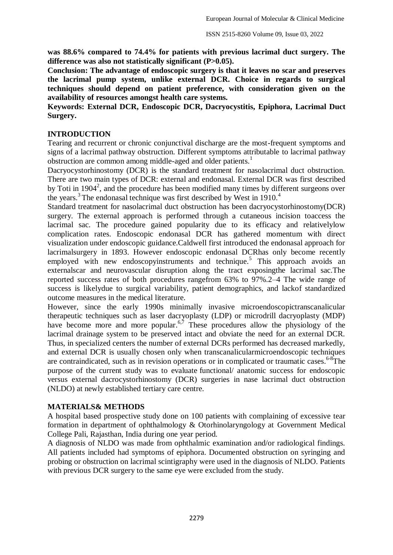**was 88.6% compared to 74.4% for patients with previous lacrimal duct surgery. The difference was also not statistically significant (P>0.05).**

**Conclusion: The advantage of endoscopic surgery is that it leaves no scar and preserves the lacrimal pump system, unlike external DCR. Choice in regards to surgical techniques should depend on patient preference, with consideration given on the availability of resources amongst health care systems.**

**Keywords: External DCR, Endoscopic DCR, Dacryocystitis, Epiphora, Lacrimal Duct Surgery.**

#### **INTRODUCTION**

Tearing and recurrent or chronic conjunctival discharge are the most-frequent symptoms and signs of a lacrimal pathway obstruction. Different symptoms attributable to lacrimal pathway obstruction are common among middle-aged and older patients.<sup>1</sup>

Dacryocystorhinostomy (DCR) is the standard treatment for nasolacrimal duct obstruction. There are two main types of DCR: external and endonasal. External DCR was first described by Toti in 1904<sup>2</sup>, and the procedure has been modified many times by different surgeons over the years.<sup>3</sup> The endonasal technique was first described by West in 1910.<sup>4</sup>

Standard treatment for nasolacrimal duct obstruction has been dacryocystorhinostomy(DCR) surgery. The external approach is performed through a cutaneous incision toaccess the lacrimal sac. The procedure gained popularity due to its efficacy and relativelylow complication rates. Endoscopic endonasal DCR has gathered momentum with direct visualization under endoscopic guidance.Caldwell first introduced the endonasal approach for lacrimalsurgery in 1893. However endoscopic endonasal DCRhas only become recently employed with new endoscopyinstruments and technique.<sup>5</sup> This approach avoids an externalscar and neurovascular disruption along the tract exposingthe lacrimal sac.The reported success rates of both procedures rangefrom 63% to 97%.2–4 The wide range of success is likelydue to surgical variability, patient demographics, and lackof standardized outcome measures in the medical literature.

However, since the early 1990s minimally invasive microendoscopictranscanalicular therapeutic techniques such as laser dacryoplasty (LDP) or microdrill dacryoplasty (MDP) have become more and more popular.<sup>6,7</sup> These procedures allow the physiology of the lacrimal drainage system to be preserved intact and obviate the need for an external DCR. Thus, in specialized centers the number of external DCRs performed has decreased markedly, and external DCR is usually chosen only when transcanalicularmicroendoscopic techniques are contraindicated, such as in revision operations or in complicated or traumatic cases.<sup>6-8</sup>The purpose of the current study was to evaluate functional/ anatomic success for endoscopic versus external dacrocystorhinostomy (DCR) surgeries in nase lacrimal duct obstruction (NLDO) at newly established tertiary care centre.

#### **MATERIALS& METHODS**

A hospital based prospective study done on 100 patients with complaining of excessive tear formation in department of ophthalmology & Otorhinolaryngology at Government Medical College Pali, Rajasthan, India during one year period.

A diagnosis of NLDO was made from ophthalmic examination and/or radiological findings. All patients included had symptoms of epiphora. Documented obstruction on syringing and probing or obstruction on lacrimal scintigraphy were used in the diagnosis of NLDO. Patients with previous DCR surgery to the same eye were excluded from the study.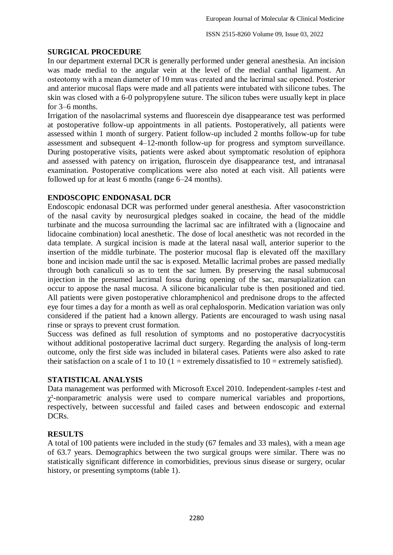#### **SURGICAL PROCEDURE**

In our department external DCR is generally performed under general anesthesia. An incision was made medial to the angular vein at the level of the medial canthal ligament. An osteotomy with a mean diameter of 10 mm was created and the lacrimal sac opened. Posterior and anterior mucosal flaps were made and all patients were intubated with silicone tubes. The skin was closed with a 6-0 polypropylene suture. The silicon tubes were usually kept in place for 3–6 months.

Irrigation of the nasolacrimal systems and fluorescein dye disappearance test was performed at postoperative follow-up appointments in all patients. Postoperatively, all patients were assessed within 1 month of surgery. Patient follow-up included 2 months follow-up for tube assessment and subsequent 4–12-month follow-up for progress and symptom surveillance. During postoperative visits, patients were asked about symptomatic resolution of epiphora and assessed with patency on irrigation, fluroscein dye disappearance test, and intranasal examination. Postoperative complications were also noted at each visit. All patients were followed up for at least 6 months (range 6–24 months).

## **ENDOSCOPIC ENDONASAL DCR**

Endoscopic endonasal DCR was performed under general anesthesia. After vasoconstriction of the nasal cavity by neurosurgical pledges soaked in cocaine, the head of the middle turbinate and the mucosa surrounding the lacrimal sac are infiltrated with a (lignocaine and lidocaine combination) local anesthetic. The dose of local anesthetic was not recorded in the data template. A surgical incision is made at the lateral nasal wall, anterior superior to the insertion of the middle turbinate. The posterior mucosal flap is elevated off the maxillary bone and incision made until the sac is exposed. Metallic lacrimal probes are passed medially through both canaliculi so as to tent the sac lumen. By preserving the nasal submucosal injection in the presumed lacrimal fossa during opening of the sac, marsupialization can occur to appose the nasal mucosa. A silicone bicanalicular tube is then positioned and tied. All patients were given postoperative chloramphenicol and prednisone drops to the affected eye four times a day for a month as well as oral cephalosporin. Medication variation was only considered if the patient had a known allergy. Patients are encouraged to wash using nasal rinse or sprays to prevent crust formation.

Success was defined as full resolution of symptoms and no postoperative dacryocystitis without additional postoperative lacrimal duct surgery. Regarding the analysis of long-term outcome, only the first side was included in bilateral cases. Patients were also asked to rate their satisfaction on a scale of 1 to 10 (1 = extremely dissatisfied to 10 = extremely satisfied).

#### **STATISTICAL ANALYSIS**

Data management was performed with Microsoft Excel 2010. Independent-samples *t*-test and  $\chi^2$ -nonparametric analysis were used to compare numerical variables and proportions, respectively, between successful and failed cases and between endoscopic and external DCRs.

## **RESULTS**

A total of 100 patients were included in the study (67 females and 33 males), with a mean age of 63.7 years. Demographics between the two surgical groups were similar. There was no statistically significant difference in comorbidities, previous sinus disease or surgery, ocular history, or presenting symptoms (table 1).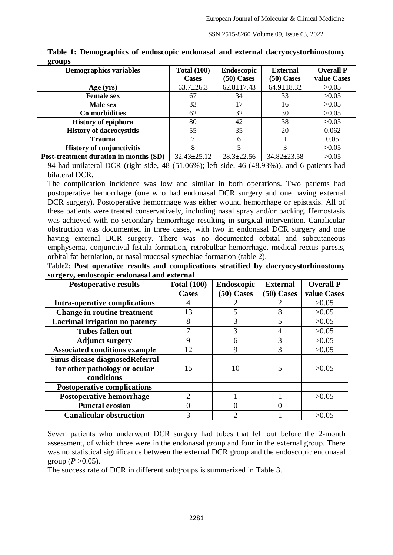| ີ<br><b>Demographics variables</b>     | <b>Total (100)</b> | Endoscopic       | <b>External</b>   | <b>Overall P</b> |
|----------------------------------------|--------------------|------------------|-------------------|------------------|
|                                        | Cases              | $(50)$ Cases     | $(50)$ Cases      | value Cases      |
| Age (yrs)                              | $63.7 \pm 26.3$    | $62.8 \pm 17.43$ | $64.9 \pm 18.32$  | >0.05            |
| <b>Female sex</b>                      | 67                 | 34               | 33                | >0.05            |
| <b>Male sex</b>                        | 33                 | 17               | 16                | >0.05            |
| Co morbidities                         | 62                 | 32               | 30                | >0.05            |
| <b>History of epiphora</b>             | 80                 | 42               | 38                | >0.05            |
| <b>History of dacrocystitis</b>        | 55                 | 35               | 20                | 0.062            |
| <b>Trauma</b>                          |                    | h                |                   | 0.05             |
| <b>History of conjunctivitis</b>       | 8                  |                  | 3                 | >0.05            |
| Post-treatment duration in months (SD) | $32.43 \pm 25.12$  | $28.3 \pm 22.56$ | $34.82 \pm 23.58$ | >0.05            |

**Table 1: Demographics of endoscopic endonasal and external dacryocystorhinostomy groups**

94 had unilateral DCR (right side, 48 (51.06%); left side, 46 (48.93%)), and 6 patients had bilateral DCR.

The complication incidence was low and similar in both operations. Two patients had postoperative hemorrhage (one who had endonasal DCR surgery and one having external DCR surgery). Postoperative hemorrhage was either wound hemorrhage or epistaxis. All of these patients were treated conservatively, including nasal spray and/or packing. Hemostasis was achieved with no secondary hemorrhage resulting in surgical intervention. Canalicular obstruction was documented in three cases, with two in endonasal DCR surgery and one having external DCR surgery. There was no documented orbital and subcutaneous emphysema, conjunctival fistula formation, retrobulbar hemorrhage, medical rectus paresis, orbital fat herniation, or nasal mucosal synechiae formation (table 2).

**Table2: Post operative results and complications stratified by dacryocystorhinostomy surgery, endoscopic endonasal and external**

| <b>Postoperative results</b>         | <b>Total (100)</b>          | <b>Endoscopic</b> | <b>External</b> | <b>Overall P</b> |
|--------------------------------------|-----------------------------|-------------------|-----------------|------------------|
|                                      | <b>Cases</b>                | $(50)$ Cases      | $(50)$ Cases    | value Cases      |
| <b>Intra-operative complications</b> |                             |                   |                 | >0.05            |
| <b>Change in routine treatment</b>   | 13                          | 5                 | 8               | >0.05            |
| Lacrimal irrigation no patency       | 8                           | 3                 | 5               | >0.05            |
| <b>Tubes fallen out</b>              |                             | 3                 | 4               | >0.05            |
| <b>Adjunct surgery</b>               | 9                           | 6                 | 3               | >0.05            |
| <b>Associated conditions example</b> | 12                          | 9                 | 3               | >0.05            |
| Sinus disease diagnosed Referral     |                             |                   |                 |                  |
| for other pathology or ocular        | 15                          | 10                | 5               | >0.05            |
| conditions                           |                             |                   |                 |                  |
| <b>Postoperative complications</b>   |                             |                   |                 |                  |
| <b>Postoperative hemorrhage</b>      | $\mathcal{D}_{\mathcal{L}}$ |                   |                 | >0.05            |
| <b>Punctal erosion</b>               |                             |                   |                 |                  |
| <b>Canalicular obstruction</b>       | 3                           |                   |                 | >0.05            |

Seven patients who underwent DCR surgery had tubes that fell out before the 2-month assessment, of which three were in the endonasal group and four in the external group. There was no statistical significance between the external DCR group and the endoscopic endonasal group ( $P > 0.05$ ).

The success rate of DCR in different subgroups is summarized in Table 3.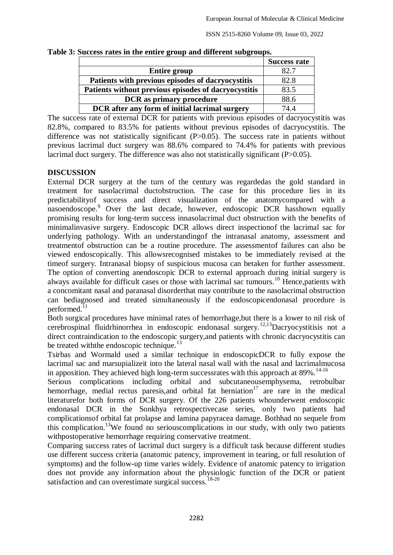|                                                      | <b>Success rate</b> |
|------------------------------------------------------|---------------------|
| <b>Entire group</b>                                  | 82.7                |
| Patients with previous episodes of dacryocystitis    | 82.8                |
| Patients without previous episodes of dacryocystitis | 83.5                |
| <b>DCR</b> as primary procedure                      | 88.6                |
| DCR after any form of initial lacrimal surgery       | 74 4                |

**Table 3: Success rates in the entire group and different subgroups.**

The success rate of external DCR for patients with previous episodes of dacryocystitis was 82.8%, compared to 83.5% for patients without previous episodes of dacryocystitis. The difference was not statistically significant (P>0.05). The success rate in patients without previous lacrimal duct surgery was 88.6% compared to 74.4% for patients with previous lacrimal duct surgery. The difference was also not statistically significant (P>0.05).

## **DISCUSSION**

External DCR surgery at the turn of the century was regardedas the gold standard in treatment for nasolacrimal ductobstruction. The case for this procedure lies in its predictabilityof success and direct visualization of the anatomycompared with a nasoendoscope.<sup>9</sup> Over the last decade, however, endoscopic DCR hasshown equally promising results for long-term success innasolacrimal duct obstruction with the benefits of minimalinvasive surgery. Endoscopic DCR allows direct inspectionof the lacrimal sac for underlying pathology. With an understandingof the intranasal anatomy, assessment and treatmentof obstruction can be a routine procedure. The assessmentof failures can also be viewed endoscopically. This allowsrecognised mistakes to be immediately revised at the timeof surgery. Intranasal biopsy of suspicious mucosa can betaken for further assessment. The option of converting anendoscopic DCR to external approach during initial surgery is always available for difficult cases or those with lacrimal sac tumours.<sup>10</sup> Hence,patients with a concomitant nasal and paranasal disorderthat may contribute to the nasolacrimal obstruction can bediagnosed and treated simultaneously if the endoscopicendonasal procedure is performed.<sup>11</sup>

Both surgical procedures have minimal rates of hemorrhage,but there is a lower to nil risk of cerebrospinal fluidrhinorrhea in endoscopic endonasal surgery.12,13Dacryocystitisis not a direct contraindication to the endoscopic surgery,and patients with chronic dacryocystitis can be treated with the endoscopic technique.<sup>13</sup>

Tsirbas and Wormald used a similar technique in endoscopicDCR to fully expose the lacrimal sac and marsupializeit into the lateral nasal wall with the nasal and lacrimalmucosa in apposition. They achieved high long-term successrates with this approach at  $89\%$ .<sup>14-16</sup>

Serious complications including orbital and subcutaneousemphysema, retrobulbar hemorrhage, medial rectus paresis, and orbital fat herniation<sup>17</sup> are rare in the medical literaturefor both forms of DCR surgery. Of the 226 patients whounderwent endoscopic endonasal DCR in the Sonkhya retrospectivecase series, only two patients had complicationsof orbital fat prolapse and lamina papyracea damage. Bothhad no sequele from this complication.<sup>13</sup>We found no serious complications in our study, with only two patients withpostoperative hemorrhage requiring conservative treatment.

Comparing success rates of lacrimal duct surgery is a difficult task because different studies use different success criteria (anatomic patency, improvement in tearing, or full resolution of symptoms) and the follow-up time varies widely. Evidence of anatomic patency to irrigation does not provide any information about the physiologic function of the DCR or patient satisfaction and can overestimate surgical success.<sup>18-20</sup>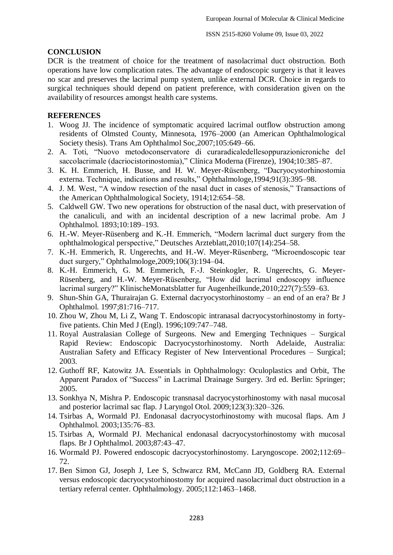#### **CONCLUSION**

DCR is the treatment of choice for the treatment of nasolacrimal duct obstruction. Both operations have low complication rates. The advantage of endoscopic surgery is that it leaves no scar and preserves the lacrimal pump system, unlike external DCR. Choice in regards to surgical techniques should depend on patient preference, with consideration given on the availability of resources amongst health care systems.

#### **REFERENCES**

- 1. Woog JJ. The incidence of symptomatic acquired lacrimal outflow obstruction among residents of Olmsted County, Minnesota, 1976–2000 (an American Ophthalmological Society thesis). Trans Am Ophthalmol Soc,2007;105:649–66.
- 2. A. Toti, "Nuovo metodoconservatore di curaradicaledellesoppurazionicroniche del saccolacrimale (dacriocistorinostomia)," Clínica Moderna (Firenze), 1904;10:385–87.
- 3. K. H. Emmerich, H. Busse, and H. W. Meyer-Rüsenberg, "Dacryocystorhinostomia externa. Technique, indications and results," Ophthalmologe,1994;91(3):395–98.
- 4. J. M. West, "A window resection of the nasal duct in cases of stenosis," Transactions of the American Ophthalmological Society, 1914;12:654–58.
- 5. Caldwell GW. Two new operations for obstruction of the nasal duct, with preservation of the canaliculi, and with an incidental description of a new lacrimal probe. Am J Ophthalmol. 1893;10:189–193.
- 6. H.-W. Meyer-Rüsenberg and K.-H. Emmerich, "Modern lacrimal duct surgery from the ophthalmological perspective," Deutsches Arzteblatt,2010;107(14):254–58.
- 7. K.-H. Emmerich, R. Ungerechts, and H.-W. Meyer-Rüsenberg, "Microendoscopic tear duct surgery," Ophthalmologe,2009;106(3):194–04.
- 8. K.-H. Emmerich, G. M. Emmerich, F.-J. Steinkogler, R. Ungerechts, G. Meyer-Rüsenberg, and H.-W. Meyer-Rüsenberg, "How did lacrimal endoscopy influence lacrimal surgery?" KlinischeMonatsblatter fur Augenheilkunde,2010;227(7):559–63.
- 9. Shun-Shin GA, Thurairajan G. External dacryocystorhinostomy an end of an era? Br J Ophthalmol. 1997;81:716–717.
- 10. Zhou W, Zhou M, Li Z, Wang T. Endoscopic intranasal dacryocystorhinostomy in fortyfive patients. Chin Med J (Engl). 1996;109:747–748.
- 11. Royal Australasian College of Surgeons. New and Emerging Techniques Surgical Rapid Review: Endoscopic Dacryocystorhinostomy. North Adelaide, Australia: Australian Safety and Efficacy Register of New Interventional Procedures – Surgical; 2003.
- 12. Guthoff RF, Katowitz JA. Essentials in Ophthalmology: Oculoplastics and Orbit, The Apparent Paradox of "Success" in Lacrimal Drainage Surgery. 3rd ed. Berlin: Springer; 2005.
- 13. Sonkhya N, Mishra P. Endoscopic transnasal dacryocystorhinostomy with nasal mucosal and posterior lacrimal sac flap. J Laryngol Otol. 2009;123(3):320–326.
- 14. Tsirbas A, Wormald PJ. Endonasal dacryocystorhinostomy with mucosal flaps. Am J Ophthalmol. 2003;135:76–83.
- 15. Tsirbas A, Wormald PJ. Mechanical endonasal dacryocystorhinostomy with mucosal flaps. Br J Ophthalmol. 2003;87:43–47.
- 16. Wormald PJ. Powered endoscopic dacryocystorhinostomy. Laryngoscope. 2002;112:69– 72.
- 17. Ben Simon GJ, Joseph J, Lee S, Schwarcz RM, McCann JD, Goldberg RA. External versus endoscopic dacryocystorhinostomy for acquired nasolacrimal duct obstruction in a tertiary referral center. Ophthalmology. 2005;112:1463–1468.